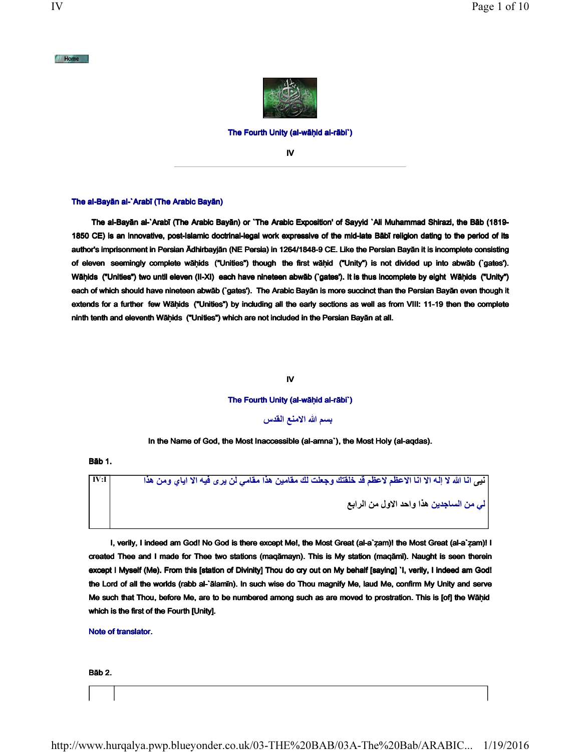

#### The Fourth Unity (al-wāḥid al-rābi`)

IV

#### The al-Bayān al-`Arabī (The Arabic Bayān)

 The al-Bayān al-`Arabī (The Arabic Bayān) or `The Arabic Exposition' of Sayyid `Ali Muhammad Shirazi, the Bāb (1819- 1850 CE) is an innovative, post-Islamic doctrinal-legal work expressive of the mid-late Bābī religion dating to the period of its author's imprisonment in Persian Ādhirbayjān (NE Persia) in 1264/1848-9 CE. Like the Persian Bayān it is incomplete consisting of eleven seemingly complete wāḥids ("Unities") though the first wāḥid ("Unity") is not divided up into abwāb (`gates'). Wāḥids ("Unities") two until eleven (II-XI) each have nineteen abwāb ('gates'). It is thus incomplete by eight Wāḥids ("Unity") each of which should have nineteen abwāb (`gates'). The Arabic Bayān is more succinct than the Persian Bayān even though it extends for a further few Wähids ("Unities") by including all the early sections as well as from VIII: 11-19 then the complete ninth tenth and eleventh Wāḥids ("Unities") which are not included in the Persian Bayān at all.

## IV

#### The Fourth Unity (al-wāḥid al-rābi`)

بسم الله الامنع القدس

In the Name of God, the Most Inaccessible (al-amna`), the Most Holy (al-aqdas).

Bāb 1.

نيي انا الله لا إله الا انا الاعظم لاعظم قد خلقتك وجعلت لك مقامين هذا مقامي لن يري فيه الا اياي ومن هذا IV:I | لى من الساجدين هذا واحد الاول من الرابع

 I, verily, I indeed am God! No God is there except Me!, the Most Great (al-a`ẓam)! the Most Great (al-a`ẓam)! I created Thee and I made for Thee two stations (maqāmayn). This is My station (maqāmī). Naught is seen therein except I Myself (Me). From this [station of Divinity] Thou do cry out on My behalf [saying] `I, verily, I indeed am God! the Lord of all the worlds (rabb al-`ālamīn). In such wise do Thou magnify Me, laud Me, confirm My Unity and serve Me such that Thou, before Me, are to be numbered among such as are moved to prostration. This is [of] the Wāḥid which is the first of the Fourth [Unity].

Note of translator.

## Bāb 2.

 $M$  Home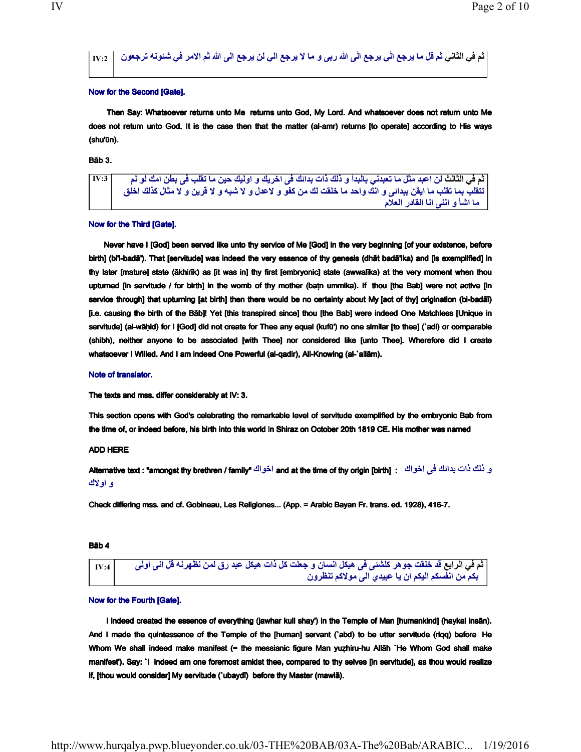# ثم في الثاني ثم قل ما يرجع الّي يرجع الّي الله ربی و ما لا يرجع الي لن يرجع الی الله ثم الامر في شئونه ترجعون  $_{\rm IV:2}$  |

## Now for the Second [Gate].

 Then Say: Whatsoever returns unto Me returns unto God, My Lord. And whatsoever does not return unto Me does not return unto God. It is the case then that the matter (al-amr) returns [to operate] according to His ways (shu'ūn).

## Bāb 3.

ثم في الثالث لن اعبد مثل ما تعبدني بالبدأ و ذلك ذات بدائك في اخريك و اوليك حين ما تقلب في بطن امك لو لم [ IV:3 تتقلب بما تقلب ما ايقن ببدائي و انك واحد ما خلقت لك من كفو و لاعدل و لا شبه و لا قرين و لا مثال كذلك اخلق ما اشاً و اننی انا القادر العلام

# Now for the Third [Gate].

 Never have I [God] been served like unto thy service of Me [God] in the very beginning [of your existence, before birth] (bi'l-badā'). That [servitude] was indeed the very essence of thy genesis (dhāt badā'ika) and [is exemplified] in thy later [mature] state (ākhirīk) as [it was in] thy first [embryonic] state (awwalīka) at the very moment when thou upturned [in servitude / for birth] in the womb of thy mother (baṭn ummika). If thou [the Bab] were not active [in service through] that upturning [at birth] then there would be no certainty about My [act of thy] origination (bi-badāī) [i.e. causing the birth of the Bāb]! Yet [this transpired since] thou [the Bab] were indeed One Matchless [Unique in servitude] (al-wāḥid) for I [God] did not create for Thee any equal (kufū') no one similar [to thee] (`adl) or comparable (shibh), neither anyone to be associated [with Thee] nor considered like [unto Thee]. Wherefore did I create whatsoever I Willed. And I am indeed One Powerful (al-qadir), All-Knowing (al-`allām).

#### Note of translator.

The texts and mss. differ considerably at IV: 3.

This section opens with God's celebrating the remarkable level of servitude exemplified by the embryonic Bab from the time of, or indeed before, his birth into this world in Shiraz on October 20th 1819 CE. His mother was named

# ADD HERE

و ذلك ذات بدانك في اخواك : and at the time of thy origin [birth] اخواك "Alternative text : "amongst thy brethren / family و اولاك

Check differing mss. and cf. Gobineau, Les Religiones... (App. = Arabic Bayan Fr. trans. ed. 1928), 416-7.

## Bāb 4

 $_{\rm IV:4}$  أع في الرابع قد خلقت جو هر كلشنى في هيكل انسان و جعلت كل ذات هيكل عبد رق لمن نظهرنه قل اني اولى مسا بكم من انفسكم اليكم ان يا عبيدي الى مولاكم تنظرون

# Now for the Fourth [Gate].

I indeed created the essence of everything (jawhar kull shay') in the Temple of Man [humankind] (haykal insān). And I made the quintessence of the Temple of the [human] servant (`abd) to be utter servitude (riqq) before He Whom We shall indeed make manifest (= the messianic figure Man yuẓhiru-hu Allāh `He Whom God shall make manifest'). Say: `I indeed am one foremost amidst thee, compared to thy selves [in servitude], as thou would realize if, [thou would consider] My servitude (`ubaydī) before thy Master (mawlā).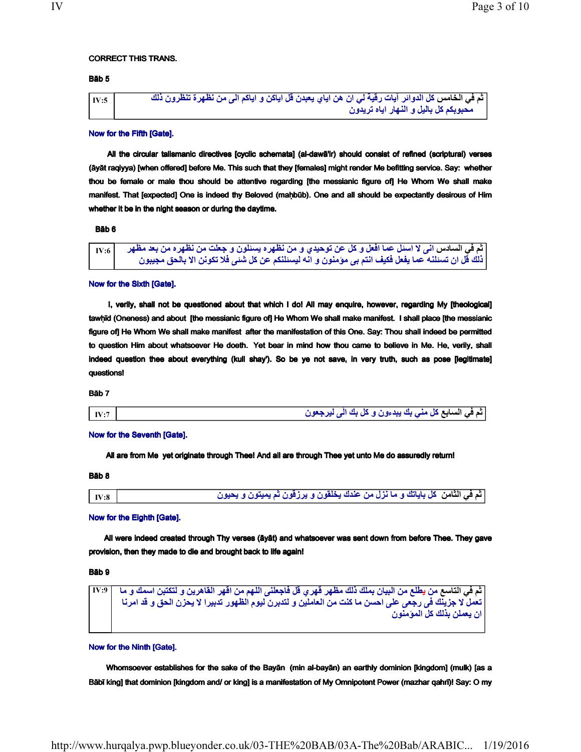## CORRECT THIS TRANS.

# Bāb 5

ماخلا يف مث س يل ةيقر تايآ رئاودلا لك و نكايا لق ندبعي يايا ن ورظن ه نا ت ةرهظن نم یلا مكايا كلذ ن :5IV وديرت هايا راهنلا و ليلاب لك مكبوبحم ن

#### Now for the Fifth [Gate].

 All the circular talismanic directives [cyclic schemata] (al-dawā'ir) should consist of refined (scriptural) verses (āyāt raqiyya) [when offered] before Me. This such that they [females] might render Me befitting service. Say: whether thou be female or male thou should be attentive regarding [the messianic figure of] He Whom We shall make manifest. That [expected] One is indeed thy Beloved (mahbūb). One and all should be expectantly desirous of Him whether it be in the night season or during the daytime.

# Bāb 6

```
ثم في السادس انى لا اسئل عما افعل و كل عن توحيدي و من نظهره يسئلون و جعلت من نظهره من بعد مظهر = IV:6
ذلك قُل ان تسئلنه عما يفعل فكيف انتم بي مؤمنون و انّه ليسئلنكم عن كل شئي فلا تكونن الا بالحق مجيبون
```
#### Now for the Sixth [Gate].

 I, verily, shall not be questioned about that which I do! All may enquire, however, regarding My [theological] tawḥīd (Oneness) and about [the messianic figure of] He Whom We shall make manifest. I shall place [the messianic figure of] He Whom We shall make manifest after the manifestation of this One. Say: Thou shall indeed be permitted to question Him about whatsoever He doeth. Yet bear in mind how thou came to believe in Me. He, verily, shall indeed question thee about everything (kull shay'). So be ye not save, in very truth, such as pose [legitimate] questions!

Bāb 7

```
\boxed{\text{IV:7}} أم في السابع كل مثـي بك يبدءون و كل بك الّـي ليرجعون \text{IV:7}}
```
#### Now for the Seventh [Gate].

All are from Me yet originate through Thee! And all are through Thee yet unto Me do assuredly return!

Bāb 8

```
اثم في الثامن اكل باياتك و ما نزل من عندك يخلقون و يرزقون ثم يميتون و يحيون مسمع المسلم المخير المعنى نمو نو ا
```
#### Now for the Eighth [Gate].

 All were indeed created through Thy verses (āyāt) and whatsoever was sent down from before Thee. They gave provision, then they made to die and brought back to life again!

Bāb 9

ساتلا يف مث ع نم ي علط رهق رهظم كلذ كلمب نايبل سا نبتك ا نم ي رهقا نم مهللا ینلعجاف لق تل و نيرهاقلا ام و كم :9IV حا یلع یعجر یف كنيزج لا لمعت س لا اريبدت روهظلا مويل نربدتل و نيلماعلا نم تنك ام ن حلا نزحي انرما دق و ق ونمؤملا لك كلذب نلمعي نا ن

# Now for the Ninth [Gate].

 Whomsoever establishes for the sake of the Bayān (min al-bayān) an earthly dominion [kingdom] (mulk) [as a Bābī king] that dominion [kingdom and/ or king] is a manifestation of My Omnipotent Power (mazhar qahrī)! Say: O my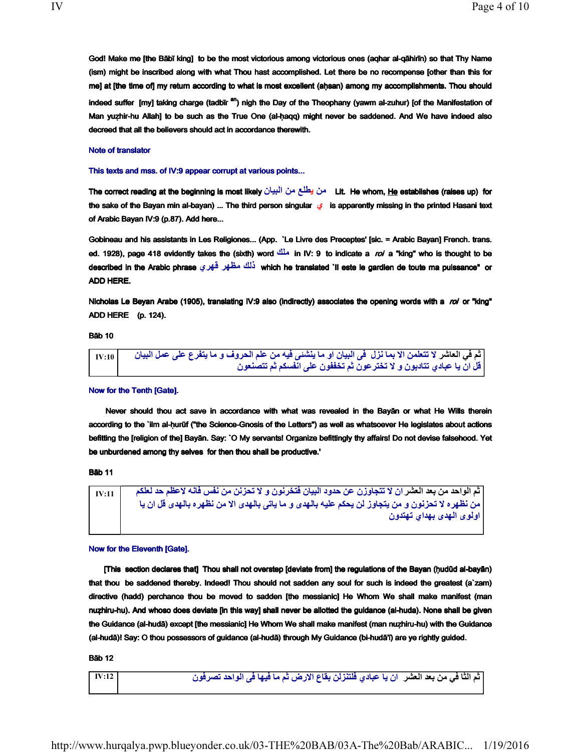God! Make me [the Bābī king] to be the most victorious among victorious ones (aqhar al-qāhirīn) so that Thy Name (ism) might be inscribed along with what Thou hast accomplished. Let there be no recompense [other than this for me] at [the time of] my return according to what is most excellent (aḥsan) among my accomplishments. Thou should indeed suffer [my] taking charge (tadbīr <sup>an</sup>) nigh the Day of the Theophany (yawm al-zuhur) [of the Manifestation of Man yuẓhir-hu Allah] to be such as the True One (al-ḥaqq) might never be saddened. And We have indeed also decreed that all the believers should act in accordance therewith.

## Note of translator

This texts and mss. of IV:9 appear corrupt at various points...

The correct reading at the beginning is most likely على يطلع من البيان Lit. He whom, He establishes (raises up) for the sake of the Bayan min al-bayan) ... The third person singular  $\epsilon$  is apparently missing in the printed Hasani text of Arabic Bayan IV:9 (p.87). Add here...

Gobineau and his assistants in Les Religiones... (App. `Le Livre des Preceptes' [sic. = Arabic Bayan] French. trans. ed. 1928), page 418 evidently takes the (sixth) word  $\frac{d\ln n}{n}$  in IV: 9 to indicate a *roi* a "king" who is thought to be described in the Arabic phrase يَلْكُ مَظْهِر فَهْرِي vhich he translated `Il este le gardien de toute ma puissance" or ADD HERE.

Nicholas Le Beyan Arabe (1905), translating IV:9 also (indirectly) associates the opening words with a roi or "king" ADD HERE (p. 124).

Bāb 10

ثم في العاشر لا تتعلمن الا بما نزل في البيان او ما ينشني فيه من علم الحروف و ما يتفرع على عمل البيان | 10 قل ان يا عبادي تتادبون و لا تختر عون ثم تخففون على انفسكم ثم تتصنعون

Now for the Tenth [Gate].

 Never should thou act save in accordance with what was revealed in the Bayān or what He Wills therein according to the `ilm al-hurūf ("the Science-Gnosis of the Letters") as well as whatsoever He legislates about actions befitting the [religion of the] Bayān. Say: `O My servants! Organize befittingly thy affairs! Do not devise falsehood. Yet be unburdened among thy selves for then thou shall be productive.'

Bāb 11

 $\frac{1}{11}\,$ تم الواحد من بعد العشر ان لا نتجاوزن عن حدود البيان فتخرنون و لا نحزنن من نفس فانه لاعظم حد لعلكم من<br>من نظهره لا تحزنون و من يتجاوز لن يحكم عليه بالهدى و ما ياتى بالهدى الا من نظهره بالهدى قل ان يا اولوی الهدی بهدای تهتدون

Now for the Eleventh [Gate].

 [This section declares that] Thou shall not overstep [deviate from] the regulations of the Bayan (ḥudūd al-bayān) that thou be saddened thereby. Indeed! Thou should not sadden any soul for such is indeed the greatest (a`zam) directive (hadd) perchance thou be moved to sadden [the messianic] He Whom We shall make manifest (man nuẓhiru-hu). And whoso does deviate [in this way] shall never be allotted the guidance (al-huda). None shall be given the Guidance (al-hudā) except [the messianic] He Whom We shall make manifest (man nuẓhiru-hu) with the Guidance (al-hudā)! Say: O thou possessors of guidance (al-hudā) through My Guidance (bi-hudā'ī) are ye rightly guided.

#### **B**āh 12

م الثا في من بعد العشر لان يا عبادي فلتنزلن بقاع الارض ثم ما فيها في الواحد تصرفون : 12IVI IV:12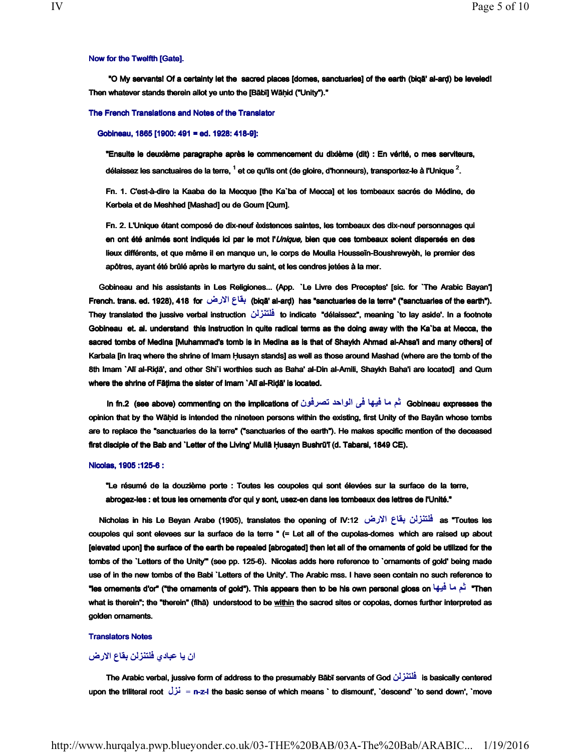## Now for the Twelfth [Gate].

 "O My servants! Of a certainty let the sacred places [domes, sanctuaries] of the earth (biqā' al-arḍ) be leveled! Then whatever stands therein allot ye unto the [Bābī] Wāhid ("Unity")."

#### The French Translations and Notes of the Translator

#### Gobineau, 1865 [1900: 491 = ed. 1928: 418-9]:

"Ensuite le deuxième paragraphe après le commencement du dixième (dit) : En vérité, o mes serviteurs, délaissez les sanctuaires de la terre, <sup>1</sup> et ce qu'ils ont (de gloire, d'honneurs), transportez-le à l'Unique <sup>2</sup>.

Fn. 1. C'est-à-dire la Kaaba de la Mecque [the Ka`ba of Mecca] et les tombeaux sacrés de Médine, de Kerbela et de Meshhed [Mashad] ou de Goum [Qum].

Fn. 2. L'Unique étant composé de dix-neuf èxistences saintes, les tombeaux des dix-neuf personnages qui en ont été animés sont indiqués ici par le mot l'Unique, bien que ces tombeaux soient dispersés en des lieux différents, et que même il en manque un, le corps de Moulla Housseïn-Boushrewyèh, le premier des apôtres, ayant été brûlé après le martyre du saint, et les cendres jetées à la mer.

 Gobineau and his assistants in Les Religiones... (App. `Le Livre des Preceptes' [sic. for `The Arabic Bayan'] French. trans. ed. 1928), 418 for بقاع الارض (biqā' al-arḍ) has "sanctuaries de la terre" ("sanctuaries of the earth"). They translated the jussive verbal instruction نلزنتلف to indicate "délaissez", meaning `to lay aside'. In a footnote Gobineau et. al. understand this instruction in quite radical terms as the doing away with the Ka`ba at Mecca, the sacred tombs of Medina [Muhammad's tomb is in Medina as is that of Shaykh Ahmad al-Ahsa'i and many others] of Karbala [in Iraq where the shrine of Imam Ḥusayn stands] as well as those around Mashad (where are the tomb of the 8th Imam `Alī al-Riḍā', and other Shi`i worthies such as Baha' al-Din al-Amili, Shaykh Baha'i are located] and Qum where the shrine of Fātima the sister of Imam `Alī al-Riḍā' is located.

In fn.2 (see above) commenting on the implications of نُم ما فيها في الواحد تصرفون (see above) commenting on the implications of opinion that by the Wāḥid is intended the nineteen persons within the existing, first Unity of the Bayān whose tombs are to replace the "sanctuaries de la terre" ("sanctuaries of the earth"). He makes specific mention of the deceased first disciple of the Bab and `Letter of the Living' Mullā Ḥusayn Bushrū'ī (d. Tabarsi, 1849 CE).

#### Nicolas, 1905 :125-6 :

"Le résumé de la douzième porte : Toutes les coupoles qui sont élevées sur la surface de la terre, abrogez-les : et tous les ornements d'or qui y sont, usez-en dans les tombeaux des lettres de l'Unité."

 Nicholas in his Le Beyan Arabe (1905), translates the opening of IV:12 ض نلزنتلف عاقب رلاا as "Toutes les coupoles qui sont elevees sur la surface de la terre " (= Let all of the cupolas-domes which are raised up about [elevated upon] the surface of the earth be repealed [abrogated] then let all of the ornaments of gold be utilized for the tombs of the `Letters of the Unity'" (see pp. 125-6). Nicolas adds here reference to `ornaments of gold' being made use of in the new tombs of the Babi `Letters of the Unity'. The Arabic mss. I have seen contain no such reference to "les ornements d'or" ("the ornaments of gold"). This appears then to be his own personal gloss on الشمال فيها what is therein"; the "therein" (fihā) understood to be within the sacred sites or copolas, domes further interpreted as golden ornaments.

## Translators Notes

# ان يا عبادي فلتنزلن بقاع الارض

 The Arabic verbal, jussive form of address to The Arabic form address to the presumably Bābī servants of God of God نلزنتلف is basically centered upon the triliteral root لزن = n-z-l the basic sense of which means ` to dismount', `descend' `to send down', `move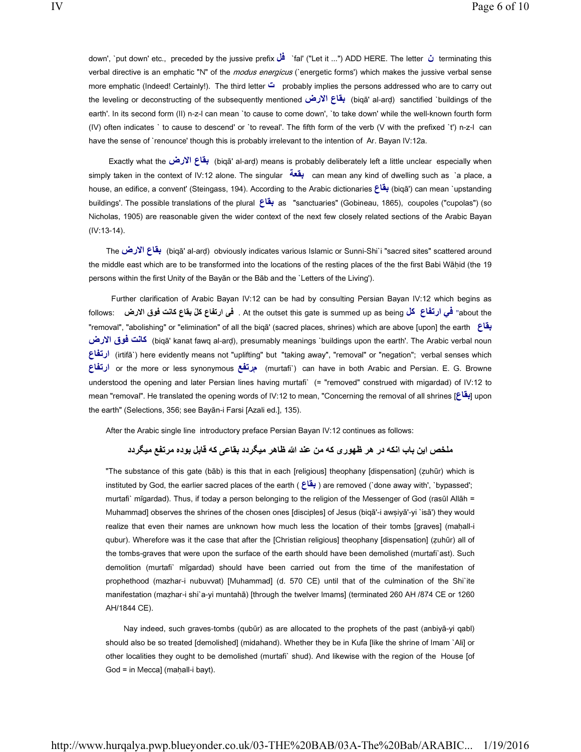down', `put down' etc., preceded by the jussive prefix فَلْ al' ("Let it ...") ADD HERE. The letter  $\dot{\omega}$  terminating this verbal directive is an emphatic "N" of the *modus energicus* (`energetic forms') which makes the jussive verbal sense more emphatic (Indeed! Certainly!). The third letter ت probably implies the persons addressed who are to carry out the leveling or deconstructing of the subsequently mentioned نقاع الأرض (biqā' al-arḍ) sanctified `buildings of the earth'. In its second form (II) n-z-l can mean `to cause to come down', `to take down' while the well-known fourth form (IV) often indicates ` to cause to descend' or `to reveal'. The fifth form of the verb (V with the prefixed `t') n-z-l can have the sense of `renounce' though this is probably irrelevant to the intention of Ar. Bayan IV:12a.

Exactly what the نقاع الارض biqā' al-arḍ) means is probably deliberately left a little unclear especially when simply taken in the context of IV:12 alone. The singular **بقعة** can mean any kind of dwelling such as `a place, a house, an edifice, a convent' (Steingass, 194). According to the Arabic dictionaries عَاقل (biqā') can mean `upstanding buildings'. The possible translations of the plural عاقب as "sanctuaries" (Gobineau, 1865), coupoles ("cupolas") (so Nicholas, 1905) are reasonable given the wider context of the next few closely related sections of the Arabic Bayan (IV:13-14).

The بِقَاعِ الإرض (biqā' al-arḍ) obviously indicates various Islamic or Sunni-Shi`i "sacred sites" scattered around the middle east which are to be transformed into the locations of the resting places of the the first Babi Wāḥid (the 19 persons within the first Unity of the Bayān or the Bāb and the `Letters of the Living').

 Further clarification of Arabic Bayan IV:12 can be had by consulting Persian Bayan IV:12 which begins as follows: ض ق رلاا عاقب تناك وف ّ یف عافترا لك . At the outset this gate is summed up as being عافترا لك يف" about the "removal", "abolishing" or "elimination" of all the biqā' (sacred places, shrines) which are above [upon] the earth عاقب كانت فوق الارض) (biqā' kanat fawq al-arḍ), presumably meanings `buildings upon the earth'. The Arabic verbal noun ارتغاع) (irtifā`) here evidently means not "uplifting" but "taking away", "removal" or "negation"; verbal senses which عافترا or the more or less synonymous عفترم ) murtafi`) can have in both Arabic and Persian. E. G. Browne understood the opening and later Persian lines having murtafi` (= "removed" construed with migardad) of IV:12 to mean "removal". He translated the opening words of IV:12 to mean, "Concerning the removal of all shrines [ عاق the earth" (Selections, 356; see Bayān-i Farsi [Azali ed.], 135).

After the Arabic single line introductory preface Persian Bayan IV:12 continues as follows:

# ملخص این باب انكه در هر ظهوری كه من عند الله ظاهر میگردد بقاعی كه قابل بوده مرتفع میگردد

"The substance of this gate (bāb) is this that in each [religious] theophany [dispensation] (ẓuhūr) which is instituted by God, the earlier sacred places of the earth ( بقاع) are removed (`done away with', `bypassed'; murtafi` mīgardad). Thus, if today a person belonging to the religion of the Messenger of God (rasūl Allāh = Muhammad] observes the shrines of the chosen ones [disciples] of Jesus (biqā'-i awṣiyā'-yi `isā') they would realize that even their names are unknown how much less the location of their tombs [graves] (mahall-i qubur). Wherefore was it the case that after the [Christian religious] theophany [dispensation] (ẓuhūr) all of the tombs-graves that were upon the surface of the earth should have been demolished (murtafi`ast). Such demolition (murtafi` mīgardad) should have been carried out from the time of the manifestation of prophethood (mazhar-i nubuvvat) [Muhammad] (d. 570 CE) until that of the culmination of the Shi`ite manifestation (mazhar-i shi`a-yi muntahā) [through the twelver Imams] (terminated 260 AH /874 CE or 1260 AH/1844 CE).

 Nay indeed, such graves-tombs (qubūr) as are allocated to the prophets of the past (anbiyā-yi qabl) should also be so treated [demolished] (midahand). Whether they be in Kufa [like the shrine of Imam `Ali] or other localities they ought to be demolished (murtafi` shud). And likewise with the region of the House [of God = in Mecca] (maḥall-i bayt).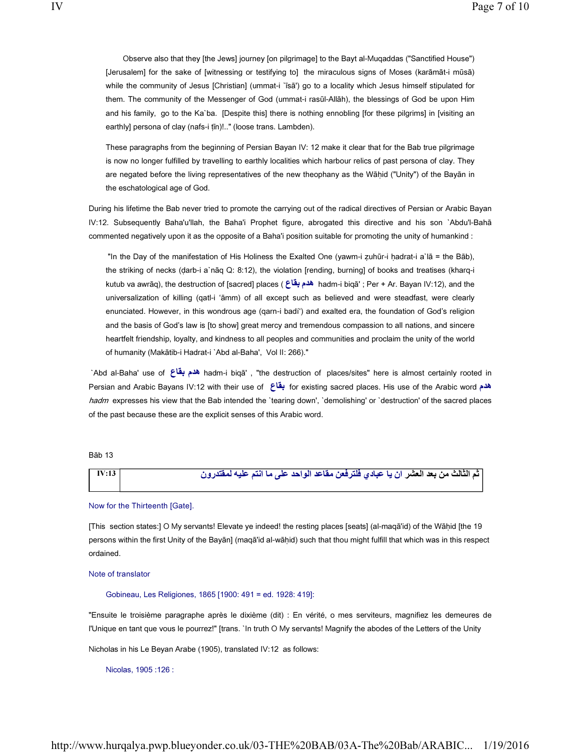Observe also that they [the Jews] journey [on pilgrimage] to the Bayt al-Muqaddas ("Sanctified House") [Jerusalem] for the sake of [witnessing or testifying to] the miraculous signs of Moses (karāmāt-i mūsā) while the community of Jesus [Christian] (ummat-i `īsā') go to a locality which Jesus himself stipulated for them. The community of the Messenger of God (ummat-i rasūl-Allāh), the blessings of God be upon Him and his family, go to the Ka`ba. [Despite this] there is nothing ennobling [for these pilgrims] in [visiting an earthly] persona of clay (nafs-i tīn)!.." (loose trans. Lambden).

These paragraphs from the beginning of Persian Bayan IV: 12 make it clear that for the Bab true pilgrimage is now no longer fulfilled by travelling to earthly localities which harbour relics of past persona of clay. They are negated before the living representatives of the new theophany as the Wāhid ("Unity") of the Bayān in the eschatological age of God.

During his lifetime the Bab never tried to promote the carrying out of the radical directives of Persian or Arabic Bayan IV:12. Subsequently Baha'u'llah, the Baha'i Prophet figure, abrogated this directive and his son `Abdu'l-Bahā commented negatively upon it as the opposite of a Baha'i position suitable for promoting the unity of humankind :

 "In the Day of the manifestation of His Holiness the Exalted One (yawm-i ẓuhūr-i ḥadrat-i a`lā = the Bāb), the striking of necks (ḍarb-i a`nāq Q: 8:12), the violation [rending, burning] of books and treatises (kharq-i kutub va awrāq), the destruction of [sacred] places ( عاقبمده hadm-i biqā' ; Per + Ar. Bayan IV:12), and the universalization of killing (qatl-i 'āmm) of all except such as believed and were steadfast, were clearly enunciated. However, in this wondrous age (qarn-i badí') and exalted era, the foundation of God's religion and the basis of God's law is [to show] great mercy and tremendous compassion to all nations, and sincere heartfelt friendship, loyalty, and kindness to all peoples and communities and proclaim the unity of the world of humanity (Makātib-i Hadrat-i `Abd al-Baha', Vol II: 266)."

 `Abd al-Baha' use of عاقبمده hadm-i biqā' , "the destruction of places/sites" here is almost certainly rooted in Persian and Arabic Bayans IV:12 with their use of عاقب for existing sacred places. His use of the Arabic word مده hadm expresses his view that the Bab intended the 'tearing down', 'demolishing' or 'destruction' of the sacred places of the past because these are the explicit senses of this Arabic word.

Bāb 13

| <b>IV:13</b> | [ثم الثالث من بعد العشر ان يا عبادي فلترفعن مقاعد الواحد على ما انتم عليه لمفتدرون |
|--------------|------------------------------------------------------------------------------------|
|              |                                                                                    |

#### Now for the Thirteenth [Gate].

[This section states:] O My servants! Elevate ye indeed! the resting places [seats] (al-maqā'id) of the Wāḥid [the 19 persons within the first Unity of the Bayān] (maqā'id al-wāḥid) such that thou might fulfill that which was in this respect ordained.

Note of translator

Gobineau, Les Religiones, 1865 [1900: 491 = ed. 1928: 419]:

"Ensuite le troisième paragraphe après le dixième (dit) : En vérité, o mes serviteurs, magnifiez les demeures de l'Unique en tant que vous le pourrez!" [trans. `In truth O My servants! Magnify the abodes of the Letters of the Unity

Nicholas in his Le Beyan Arabe (1905), translated IV:12 as follows:

Nicolas, 1905 :126 :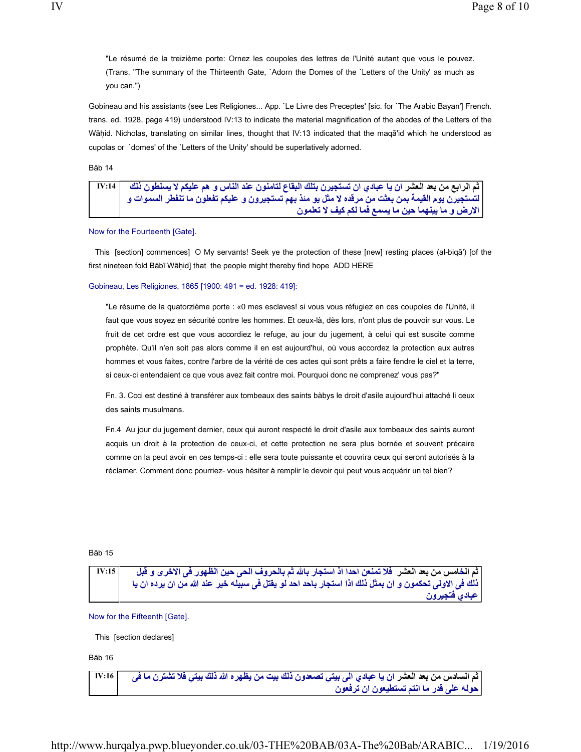"Le résumé de la treizième porte: Ornez les coupoles des lettres de l'Unité autant que vous le pouvez. (Trans. "The summary of the Thirteenth Gate, `Adorn the Domes of the `Letters of the Unity' as much as you can.")

Gobineau and his assistants (see Les Religiones... App. `Le Livre des Preceptes' [sic. for `The Arabic Bayan'] French. trans. ed. 1928, page 419) understood IV:13 to indicate the material magnification of the abodes of the Letters of the Wāḥid. Nicholas, translating on similar lines, thought that IV:13 indicated that the maqā'id which he understood as cupolas or `domes' of the `Letters of the Unity' should be superlatively adorned.

Bāb 14

| ثم الرابع من بعد العشر ان يا عبادي ان تستجيرن بتلك البقاع لتامنون عند الناس و هم عليكم لا يسلطون ذلك  |
|-------------------------------------------------------------------------------------------------------|
| التستجيرن يوم القيمة بمن بعثت من مرقده لا مثل يو مئذ بهم تستجيرون و عليكم تفعلون ما تنفطر السموات و ا |
| الارض و ما بينهما حين ما يسمع فما لكم كيف لا تعلمون                                                   |

Now for the Fourteenth [Gate].

 This [section] commences] O My servants! Seek ye the protection of these [new] resting places (al-biqā') [of the first nineteen fold Bābī Wāḥid] that the people might thereby find hope ADD HERE

## Gobineau, Les Religiones, 1865 [1900: 491 = ed. 1928: 419]:

"Le résume de la quatorzième porte : «0 mes esclaves! si vous vous réfugiez en ces coupoles de l'Unité, il faut que vous soyez en sécurité contre les hommes. Et ceux-là, dès lors, n'ont plus de pouvoir sur vous. Le fruit de cet ordre est que vous accordiez le refuge, au jour du jugement, à celui qui est suscite comme prophète. Qu'il n'en soit pas alors comme il en est aujourd'hui, où vous accordez la protection aux autres hommes et vous faites, contre l'arbre de la vérité de ces actes qui sont prêts a faire fendre le ciel et la terre, si ceux-ci entendaient ce que vous avez fait contre moi. Pourquoi donc ne comprenez' vous pas?"

Fn. 3. Ccci est destiné à transférer aux tombeaux des saints bàbys le droit d'asile aujourd'hui attaché li ceux des saints musulmans.

Fn.4 Au jour du jugement dernier, ceux qui auront respecté le droit d'asile aux tombeaux des saints auront acquis un droit à la protection de ceux-ci, et cette protection ne sera plus bornée et souvent précaire comme on la peut avoir en ces temps-ci : elle sera toute puissante et couvrira ceux qui seront autorisés à la réclamer. Comment donc pourriez- vous hésiter à remplir le devoir qui peut vous acquérir un tel bien?

Bāb 15

| IV:15 | ثم الخامس من بعد العشر   فلا تمنعن احدا اذ استجار بالله ثم بالحروف الحي حين الظهور في الاخرى و قبل    |
|-------|-------------------------------------------------------------------------------------------------------|
|       | ذلك في الاولى تحكمون و ان بمثل ذلك اذا استجار باحد احد لو يقتل في سبيله خير عند الله من ان يرده ان يا |
|       | عبادى فتجيرون                                                                                         |

Now for the Fifteenth [Gate].

This [section declares]

Bāb 16

ثم السادس من بعد العشر ان يا عبادي الى بيتي تصعدون ذلك بيت من يظهر ه الله ذلك بيتي فلا تشترن ما ف*ي ا* IV:16 حوله على قدر ما انتم تستطيعون ان ترفعون